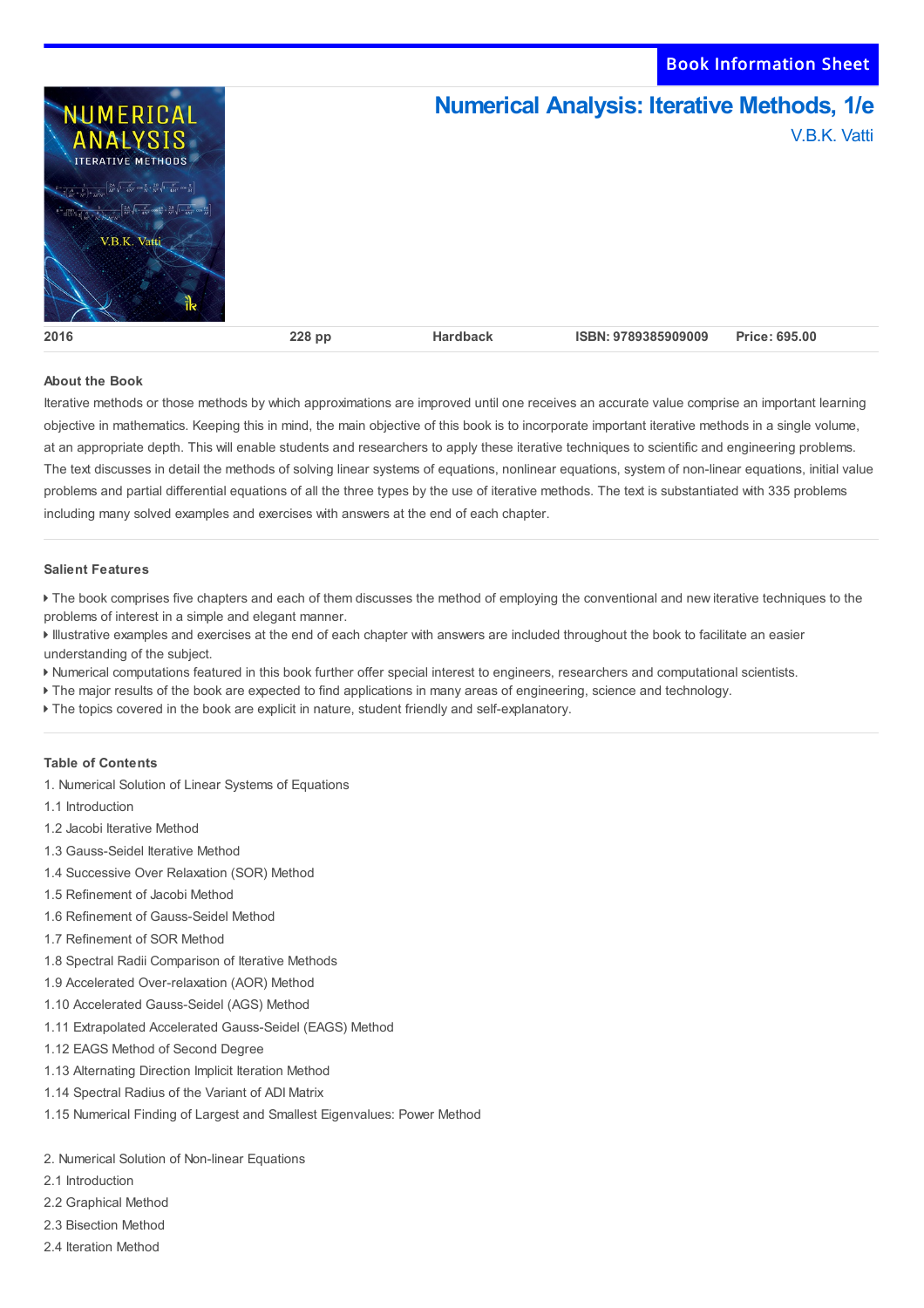Book Information Sheet



# **About the Book**

Iterative methods or those methods by which approximations are improved until one receives an accurate value comprise an important learning objective in mathematics. Keeping this in mind, the main objective of this book is to incorporate important iterative methods in a single volume, at an appropriate depth. This will enable students and researchers to apply these iterative techniques to scientific and engineering problems. The text discusses in detail the methods of solving linear systems of equations, nonlinear equations, system of non-linear equations, initial value problems and partial differential equations of all the three types by the use of iterative methods. The text is substantiated with 335 problems including many solved examples and exercises with answers at the end of each chapter.

### **Salient Features**

The book comprises five chapters and each of them discusses the method of employing the conventional and new iterative techniques to the problems of interest in a simple and elegant manner.

 Illustrative examples and exercises at the end of each chapter with answers are included throughout the book to facilitate an easier understanding of the subject.

- Numerical computations featured in this book further offer special interest to engineers, researchers and computational scientists.
- The major results of the book are expected to find applications in many areas of engineering, science and technology.
- The topics covered in the book are explicit in nature, student friendly and self-explanatory.

# **Table of Contents**

- 1. Numerical Solution of Linear Systems of Equations
- 1.1 Introduction
- 1.2 Jacobi Iterative Method
- 1.3 Gauss-Seidel Iterative Method
- 1.4 Successive Over Relaxation (SOR) Method
- 1.5 Refinement of Jacobi Method
- 1.6 Refinement of Gauss-Seidel Method
- 1.7 Refinement of SOR Method
- 1.8 Spectral Radii Comparison of Iterative Methods
- 1.9 Accelerated Over-relaxation (AOR) Method
- 1.10 Accelerated Gauss-Seidel (AGS) Method
- 1.11 Extrapolated Accelerated Gauss-Seidel (EAGS) Method
- 1.12 EAGS Method of Second Degree
- 1.13 Alternating Direction Implicit Iteration Method
- 1.14 Spectral Radius of the Variant of ADI Matrix
- 1.15 Numerical Finding of Largest and Smallest Eigenvalues: Power Method

#### 2. Numerical Solution of Non-linear Equations

- 2.1 Introduction
- 2.2 Graphical Method
- 2.3 Bisection Method
- 2.4 Iteration Method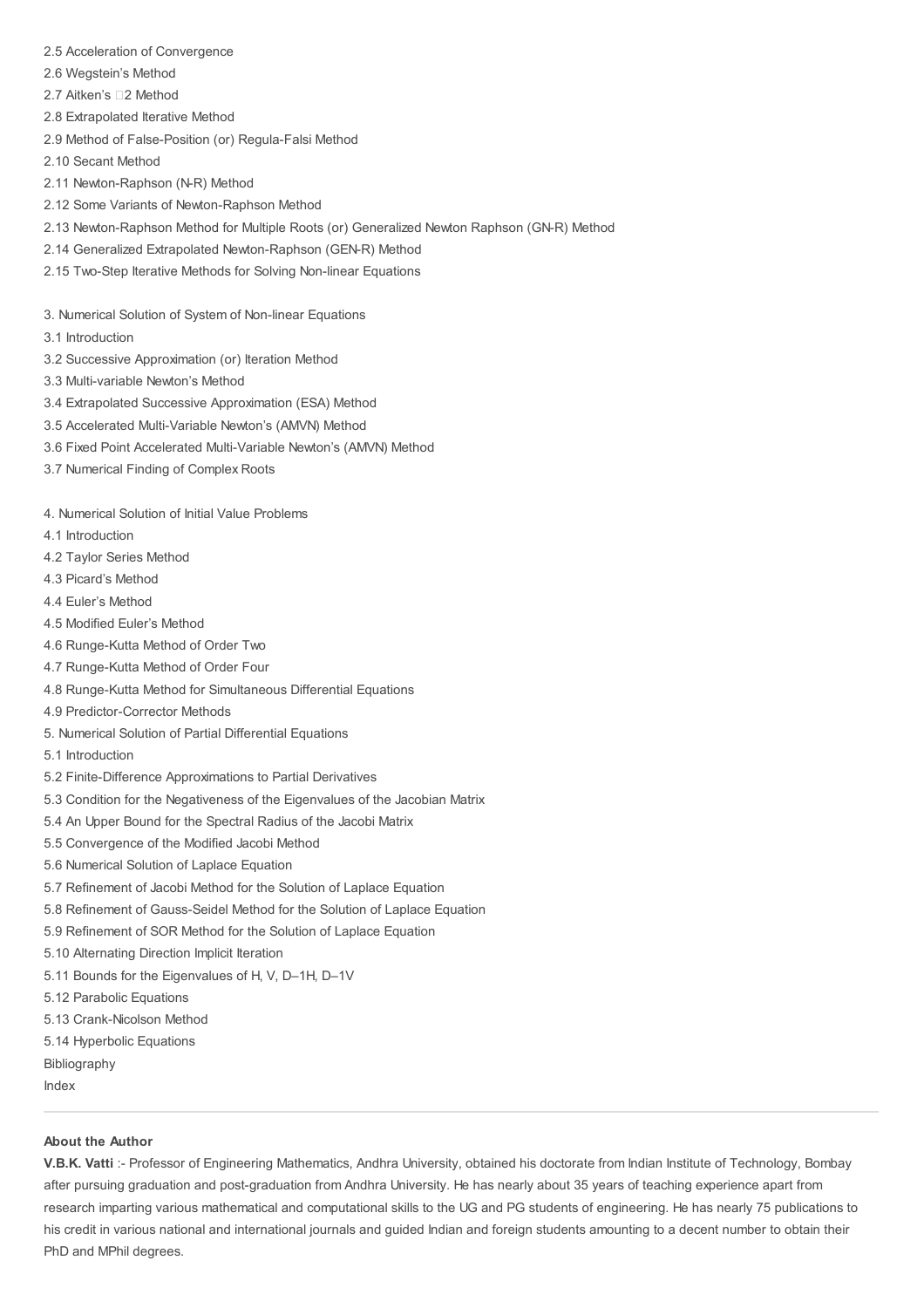- 2.5 Acceleration of Convergence
- 2.6 Wegstein's Method
- 2.7 Aitken's □2 Method
- 2.8 Extrapolated Iterative Method
- 2.9 Method of False-Position (or) Regula-Falsi Method
- 2.10 Secant Method
- 2.11 Newton-Raphson (N-R) Method
- 2.12 Some Variants of Newton-Raphson Method
- 2.13 Newton-Raphson Method for Multiple Roots (or) Generalized Newton Raphson (GN-R) Method
- 2.14 Generalized Extrapolated Newton-Raphson (GEN-R) Method
- 2.15 Two-Step Iterative Methods for Solving Non-linear Equations
- 3. Numerical Solution of System of Non-linear Equations
- 3.1 Introduction
- 3.2 Successive Approximation (or) Iteration Method
- 3.3 Multi-variable Newton's Method
- 3.4 Extrapolated Successive Approximation (ESA) Method
- 3.5 Accelerated Multi-Variable Newton's (AMVN) Method
- 3.6 Fixed Point Accelerated Multi-Variable Newton's (AMVN) Method
- 3.7 Numerical Finding of Complex Roots

4. Numerical Solution of Initial Value Problems

- 4.1 Introduction
- 4.2 Taylor Series Method
- 4.3 Picard's Method
- 4.4 Euler's Method
- 4.5 Modified Euler's Method
- 4.6 Runge-Kutta Method of Order Two
- 4.7 Runge-Kutta Method of Order Four
- 4.8 Runge-Kutta Method for Simultaneous Differential Equations
- 4.9 Predictor-Corrector Methods
- 5. Numerical Solution of Partial Differential Equations
- 5.1 Introduction
- 5.2 Finite-Difference Approximations to Partial Derivatives
- 5.3 Condition for the Negativeness of the Eigenvalues of the Jacobian Matrix
- 5.4 An Upper Bound for the Spectral Radius of the Jacobi Matrix
- 5.5 Convergence of the Modified Jacobi Method
- 5.6 Numerical Solution of Laplace Equation
- 5.7 Refinement of Jacobi Method for the Solution of Laplace Equation
- 5.8 Refinement of Gauss-Seidel Method for the Solution of Laplace Equation
- 5.9 Refinement of SOR Method for the Solution of Laplace Equation
- 5.10 Alternating Direction Implicit Iteration
- 5.11 Bounds for the Eigenvalues of H, V, D–1H, D–1V
- 5.12 Parabolic Equations
- 5.13 Crank-Nicolson Method
- 5.14 Hyperbolic Equations
- Bibliography
- Index

# **About the Author**

**V.B.K. Vatti** :- Professor of Engineering Mathematics, Andhra University, obtained his doctorate from Indian Institute of Technology, Bombay after pursuing graduation and post-graduation from Andhra University. He has nearly about 35 years of teaching experience apart from research imparting various mathematical and computational skills to the UG and PG students of engineering. He has nearly 75 publications to his credit in various national and international journals and guided Indian and foreign students amounting to a decent number to obtain their PhD and MPhil degrees.